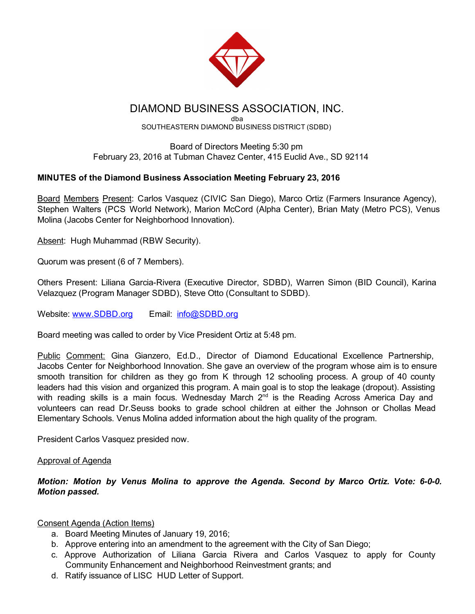

# DIAMOND BUSINESS ASSOCIATION, INC.

dba SOUTHEASTERN DIAMOND BUSINESS DISTRICT (SDBD)

Board of Directors Meeting 5:30 pm February 23, 2016 at Tubman Chavez Center, 415 Euclid Ave., SD 92114

# MINUTES of the Diamond Business Association Meeting February 23, 2016

Board Members Present: Carlos Vasquez (CIVIC San Diego), Marco Ortiz (Farmers Insurance Agency), Stephen Walters (PCS World Network), Marion McCord (Alpha Center), Brian Maty (Metro PCS), Venus Molina (Jacobs Center for Neighborhood Innovation).

Absent: Hugh Muhammad (RBW Security).

Quorum was present (6 of 7 Members).

Others Present: Liliana Garcia-Rivera (Executive Director, SDBD), Warren Simon (BID Council), Karina Velazquez (Program Manager SDBD), Steve Otto (Consultant to SDBD).

Website: [www.SDBD.org](http://www.sdbd.org/) Email: [info@SDBD.org](mailto:info@SDBD.org)

Board meeting was called to order by Vice President Ortiz at 5:48 pm.

Public Comment: Gina Gianzero, Ed.D., Director of Diamond Educational Excellence Partnership, Jacobs Center for Neighborhood Innovation. She gave an overview of the program whose aim is to ensure smooth transition for children as they go from K through 12 schooling process. A group of 40 county leaders had this vision and organized this program. A main goal is to stop the leakage (dropout). Assisting with reading skills is a main focus. Wednesday March  $2^{nd}$  is the Reading Across America Day and volunteers can read Dr.Seuss books to grade school children at either the Johnson or Chollas Mead Elementary Schools. Venus Molina added information about the high quality of the program.

President Carlos Vasquez presided now.

#### Approval of Agenda

*Motion: Motion by Venus Molina to approve the Agenda. Second by Marco Ortiz. Vote: 6-0-0. Motion passed.*

# Consent Agenda (Action Items)

- a. Board Meeting Minutes of January 19, 2016;
- b. Approve entering into an amendment to the agreement with the City of San Diego;
- c. Approve Authorization of Liliana Garcia Rivera and Carlos Vasquez to apply for County Community Enhancement and Neighborhood Reinvestment grants; and
- d. Ratify issuance of LISC HUD Letter of Support.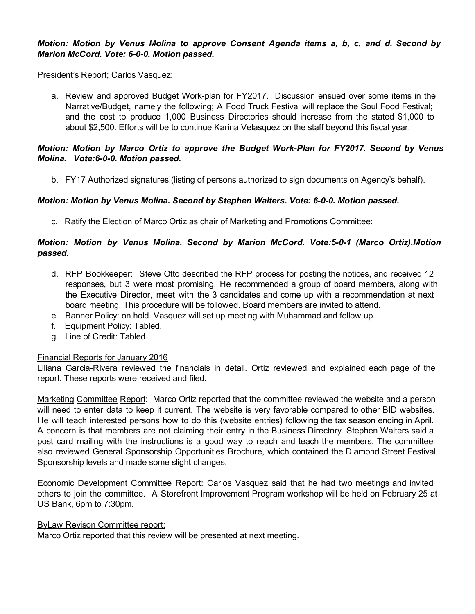#### *Motion: Motion by Venus Molina to approve Consent Agenda items a, b, c, and d. Second by Marion McCord. Vote: 6-0-0. Motion passed.*

#### President's Report; Carlos Vasquez:

a. Review and approved Budget Work-plan for FY2017. Discussion ensued over some items in the Narrative/Budget, namely the following; A Food Truck Festival will replace the Soul Food Festival; and the cost to produce 1,000 Business Directories should increase from the stated \$1,000 to about \$2,500. Efforts will be to continue Karina Velasquez on the staff beyond this fiscal year.

#### *Motion: Motion by Marco Ortiz to approve the Budget Work-Plan for FY2017. Second by Venus Molina.* Vote:6-0-0. Motion passed.

b. FY17 Authorized signatures.(listing of persons authorized to sign documents on Agency's behalf).

## *Motion: Motion by Venus Molina. Second by Stephen Walters. Vote: 6-0-0. Motion passed.*

c. Ratify the Election of Marco Ortiz as chair of Marketing and Promotions Committee:

## *Motion: Motion by Venus Molina. Second by Marion McCord. Vote:501 (Marco Ortiz).Motion passed.*

- d. RFP Bookkeeper: Steve Otto described the RFP process for posting the notices, and received 12 responses, but 3 were most promising. He recommended a group of board members, along with the Executive Director, meet with the 3 candidates and come up with a recommendation at next board meeting. This procedure will be followed. Board members are invited to attend.
- e. Banner Policy: on hold. Vasquez will set up meeting with Muhammad and follow up.
- f. Equipment Policy: Tabled.
- g. Line of Credit: Tabled.

#### Financial Reports for January 2016

Liliana Garcia-Rivera reviewed the financials in detail. Ortiz reviewed and explained each page of the report. These reports were received and filed.

Marketing Committee Report: Marco Ortiz reported that the committee reviewed the website and a person will need to enter data to keep it current. The website is very favorable compared to other BID websites. He will teach interested persons how to do this (website entries) following the tax season ending in April. A concern is that members are not claiming their entry in the Business Directory. Stephen Walters said a post card mailing with the instructions is a good way to reach and teach the members. The committee also reviewed General Sponsorship Opportunities Brochure, which contained the Diamond Street Festival Sponsorship levels and made some slight changes.

Economic Development Committee Report: Carlos Vasquez said that he had two meetings and invited others to join the committee. A Storefront Improvement Program workshop will be held on February 25 at US Bank, 6pm to 7:30pm.

#### ByLaw Revison Committee report:

Marco Ortiz reported that this review will be presented at next meeting.